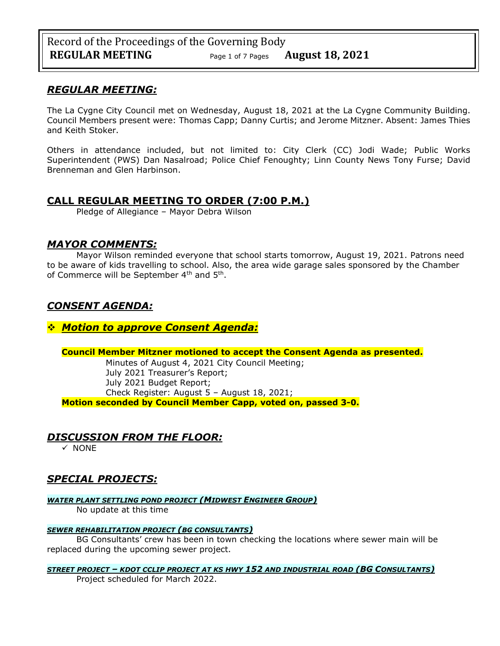### *REGULAR MEETING:*

The La Cygne City Council met on Wednesday, August 18, 2021 at the La Cygne Community Building. Council Members present were: Thomas Capp; Danny Curtis; and Jerome Mitzner. Absent: James Thies and Keith Stoker.

Others in attendance included, but not limited to: City Clerk (CC) Jodi Wade; Public Works Superintendent (PWS) Dan Nasalroad; Police Chief Fenoughty; Linn County News Tony Furse; David Brenneman and Glen Harbinson.

# **CALL REGULAR MEETING TO ORDER (7:00 P.M.)**

Pledge of Allegiance – Mayor Debra Wilson

### *MAYOR COMMENTS:*

Mayor Wilson reminded everyone that school starts tomorrow, August 19, 2021. Patrons need to be aware of kids travelling to school. Also, the area wide garage sales sponsored by the Chamber of Commerce will be September 4<sup>th</sup> and 5<sup>th</sup>.

# *CONSENT AGENDA:*

### ❖ *Motion to approve Consent Agenda:*

### **Council Member Mitzner motioned to accept the Consent Agenda as presented.**

Minutes of August 4, 2021 City Council Meeting; July 2021 Treasurer's Report; July 2021 Budget Report; Check Register: August 5 – August 18, 2021; **Motion seconded by Council Member Capp, voted on, passed 3-0.** 

# *DISCUSSION FROM THE FLOOR:*

✓ NONE

# *SPECIAL PROJECTS:*

*WATER PLANT SETTLING POND PROJECT (MIDWEST ENGINEER GROUP)*

No update at this time

### *SEWER REHABILITATION PROJECT (BG CONSULTANTS)*

BG Consultants' crew has been in town checking the locations where sewer main will be replaced during the upcoming sewer project.

### *STREET PROJECT – KDOT CCLIP PROJECT AT KS HWY 152 AND INDUSTRIAL ROAD (BG CONSULTANTS)*

Project scheduled for March 2022.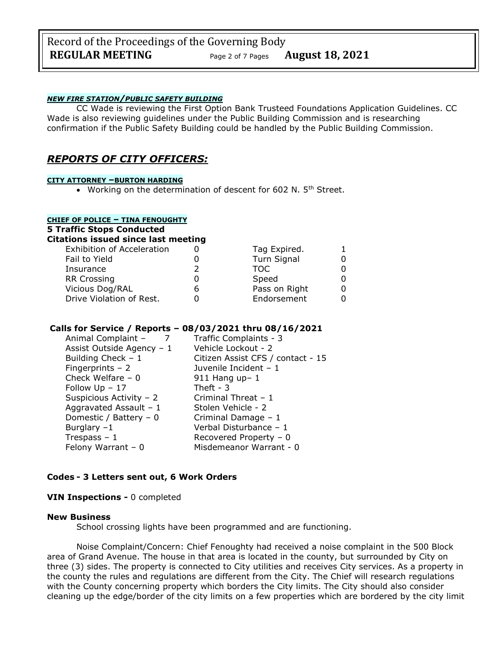# Record of the Proceedings of the Governing Body **REGULAR MEETING** Page <sup>2</sup> of 7 Pages **August 18, 2021**

### *NEW FIRE STATION/PUBLIC SAFETY BUILDING*

CC Wade is reviewing the First Option Bank Trusteed Foundations Application Guidelines. CC Wade is also reviewing guidelines under the Public Building Commission and is researching confirmation if the Public Safety Building could be handled by the Public Building Commission.

### *REPORTS OF CITY OFFICERS:*

#### **CITY ATTORNEY –BURTON HARDING**

• Working on the determination of descent for 602 N, 5<sup>th</sup> Street.

### **CHIEF OF POLICE – TINA FENOUGHTY**

**5 Traffic Stops Conducted**

#### **Citations issued since last meeting**

| <b>Exhibition of Acceleration</b> |   | Tag Expired.  |  |
|-----------------------------------|---|---------------|--|
| Fail to Yield                     |   | Turn Signal   |  |
| Insurance                         |   | TOC.          |  |
| <b>RR Crossing</b>                |   | Speed         |  |
| Vicious Dog/RAL                   | n | Pass on Right |  |
| Drive Violation of Rest.          |   | Endorsement   |  |

#### **Calls for Service / Reports – 08/03/2021 thru 08/16/2021**

| Animal Complaint -        | Traffic Complaints - 3            |
|---------------------------|-----------------------------------|
| Assist Outside Agency - 1 | Vehicle Lockout - 2               |
| Building Check - 1        | Citizen Assist CFS / contact - 15 |
| Fingerprints $-2$         | Juvenile Incident - 1             |
| Check Welfare $-0$        | $911$ Hang up- 1                  |
| Follow $Up - 17$          | Theft - $3$                       |
| Suspicious Activity - 2   | Criminal Threat - 1               |
| Aggravated Assault - $1$  | Stolen Vehicle - 2                |
| Domestic / Battery - 0    | Criminal Damage - 1               |
| Burglary $-1$             | Verbal Disturbance - 1            |
| Trespass $-1$             | Recovered Property - 0            |
| Felony Warrant $-0$       | Misdemeanor Warrant - 0           |
|                           |                                   |

#### **Codes - 3 Letters sent out, 6 Work Orders**

#### **VIN Inspections -** 0 completed

#### **New Business**

School crossing lights have been programmed and are functioning.

Noise Complaint/Concern: Chief Fenoughty had received a noise complaint in the 500 Block area of Grand Avenue. The house in that area is located in the county, but surrounded by City on three (3) sides. The property is connected to City utilities and receives City services. As a property in the county the rules and regulations are different from the City. The Chief will research regulations with the County concerning property which borders the City limits. The City should also consider cleaning up the edge/border of the city limits on a few properties which are bordered by the city limit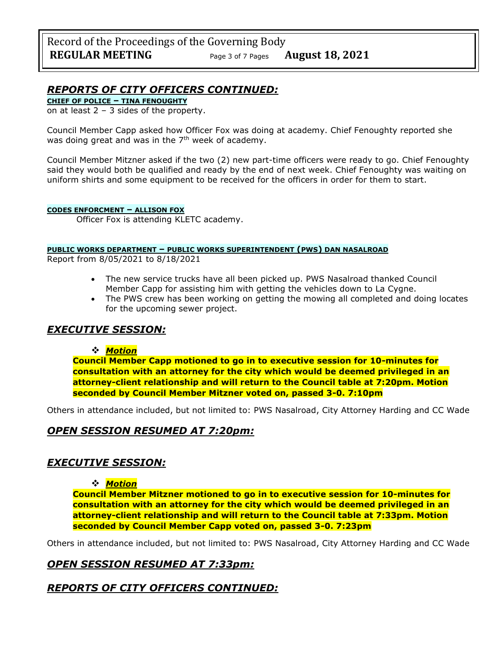# *REPORTS OF CITY OFFICERS CONTINUED:*

**CHIEF OF POLICE – TINA FENOUGHTY**

on at least  $2 - 3$  sides of the property.

Council Member Capp asked how Officer Fox was doing at academy. Chief Fenoughty reported she was doing great and was in the  $7<sup>th</sup>$  week of academy.

Council Member Mitzner asked if the two (2) new part-time officers were ready to go. Chief Fenoughty said they would both be qualified and ready by the end of next week. Chief Fenoughty was waiting on uniform shirts and some equipment to be received for the officers in order for them to start.

#### **CODES ENFORCMENT – ALLISON FOX**

Officer Fox is attending KLETC academy.

#### **PUBLIC WORKS DEPARTMENT – PUBLIC WORKS SUPERINTENDENT (PWS) DAN NASALROAD**

Report from 8/05/2021 to 8/18/2021

- The new service trucks have all been picked up. PWS Nasalroad thanked Council Member Capp for assisting him with getting the vehicles down to La Cygne.
- The PWS crew has been working on getting the mowing all completed and doing locates for the upcoming sewer project.

# *EXECUTIVE SESSION:*

### ❖ *Motion*

**Council Member Capp motioned to go in to executive session for 10-minutes for consultation with an attorney for the city which would be deemed privileged in an attorney-client relationship and will return to the Council table at 7:20pm. Motion seconded by Council Member Mitzner voted on, passed 3-0. 7:10pm** 

Others in attendance included, but not limited to: PWS Nasalroad, City Attorney Harding and CC Wade

# *OPEN SESSION RESUMED AT 7:20pm:*

# *EXECUTIVE SESSION:*

### ❖ *Motion*

**Council Member Mitzner motioned to go in to executive session for 10-minutes for consultation with an attorney for the city which would be deemed privileged in an attorney-client relationship and will return to the Council table at 7:33pm. Motion seconded by Council Member Capp voted on, passed 3-0. 7:23pm** 

Others in attendance included, but not limited to: PWS Nasalroad, City Attorney Harding and CC Wade

# *OPEN SESSION RESUMED AT 7:33pm:*

# *REPORTS OF CITY OFFICERS CONTINUED:*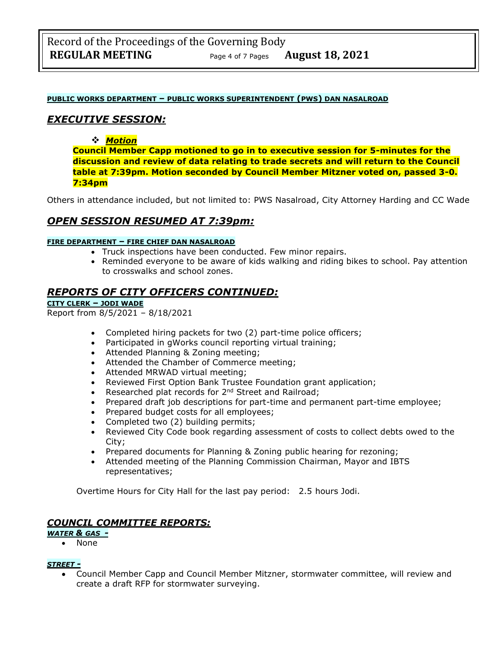#### **PUBLIC WORKS DEPARTMENT – PUBLIC WORKS SUPERINTENDENT (PWS) DAN NASALROAD**

### *EXECUTIVE SESSION:*

#### ❖ *Motion*

**Council Member Capp motioned to go in to executive session for 5-minutes for the discussion and review of data relating to trade secrets and will return to the Council table at 7:39pm. Motion seconded by Council Member Mitzner voted on, passed 3-0. 7:34pm** 

Others in attendance included, but not limited to: PWS Nasalroad, City Attorney Harding and CC Wade

# *OPEN SESSION RESUMED AT 7:39pm:*

#### **FIRE DEPARTMENT – FIRE CHIEF DAN NASALROAD**

- Truck inspections have been conducted. Few minor repairs.
- Reminded everyone to be aware of kids walking and riding bikes to school. Pay attention to crosswalks and school zones.

### *REPORTS OF CITY OFFICERS CONTINUED:*

#### **CITY CLERK – JODI WADE**

Report from 8/5/2021 – 8/18/2021

- Completed hiring packets for two (2) part-time police officers;
- Participated in gWorks council reporting virtual training;
- Attended Planning & Zoning meeting;
- Attended the Chamber of Commerce meeting;
- Attended MRWAD virtual meeting;
- Reviewed First Option Bank Trustee Foundation grant application;
- Researched plat records for 2<sup>nd</sup> Street and Railroad;
- Prepared draft job descriptions for part-time and permanent part-time employee;
- Prepared budget costs for all employees;
- Completed two (2) building permits;
- Reviewed City Code book regarding assessment of costs to collect debts owed to the City;
- Prepared documents for Planning & Zoning public hearing for rezoning;
- Attended meeting of the Planning Commission Chairman, Mayor and IBTS representatives;

Overtime Hours for City Hall for the last pay period: 2.5 hours Jodi.

### *COUNCIL COMMITTEE REPORTS:*

### *WATER & GAS -*

• None

#### *STREET -*

• Council Member Capp and Council Member Mitzner, stormwater committee, will review and create a draft RFP for stormwater surveying.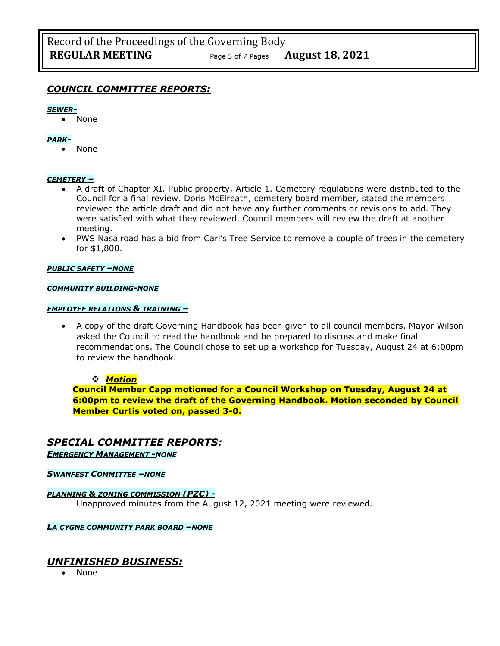### *COUNCIL COMMITTEE REPORTS:*

#### *SEWER-*

• None

#### *PARK-*

• None

#### *CEMETERY –*

- A draft of Chapter XI. Public property, Article 1. Cemetery regulations were distributed to the Council for a final review. Doris McElreath, cemetery board member, stated the members reviewed the article draft and did not have any further comments or revisions to add. They were satisfied with what they reviewed. Council members will review the draft at another meeting.
- PWS Nasalroad has a bid from Carl's Tree Service to remove a couple of trees in the cemetery for \$1,800.

#### *PUBLIC SAFETY –NONE*

#### *COMMUNITY BUILDING-NONE*

#### *EMPLOYEE RELATIONS & TRAINING –*

• A copy of the draft Governing Handbook has been given to all council members. Mayor Wilson asked the Council to read the handbook and be prepared to discuss and make final recommendations. The Council chose to set up a workshop for Tuesday, August 24 at 6:00pm to review the handbook.

#### ❖ *Motion*

**Council Member Capp motioned for a Council Workshop on Tuesday, August 24 at 6:00pm to review the draft of the Governing Handbook. Motion seconded by Council Member Curtis voted on, passed 3-0.**

### *SPECIAL COMMITTEE REPORTS:*

*EMERGENCY MANAGEMENT -NONE*

*SWANFEST COMMITTEE –NONE*

#### *PLANNING & ZONING COMMISSION (PZC) -*

Unapproved minutes from the August 12, 2021 meeting were reviewed.

*LA CYGNE COMMUNITY PARK BOARD –NONE*

### *UNFINISHED BUSINESS:*

• None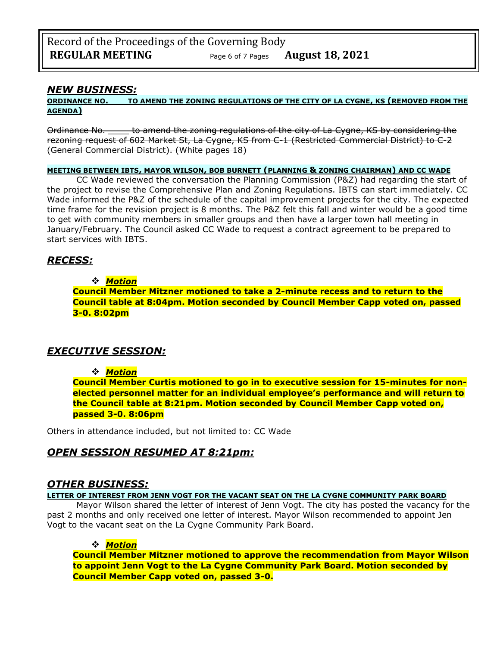### *NEW BUSINESS:*

#### **ORDINANCE NO. \_\_\_TO AMEND THE ZONING REGULATIONS OF THE CITY OF LA CYGNE, KS (REMOVED FROM THE AGENDA)**

Ordinance No. \_\_\_\_\_ to amend the zoning regulations of the city of La Cygne, KS by considering the rezoning request of 602 Market St, La Cygne, KS from C-1 (Restricted Commercial District) to C-2 (General Commercial District). (White pages 18)

#### **MEETING BETWEEN IBTS, MAYOR WILSON, BOB BURNETT (PLANNING & ZONING CHAIRMAN) AND CC WADE**

CC Wade reviewed the conversation the Planning Commission (P&Z) had regarding the start of the project to revise the Comprehensive Plan and Zoning Regulations. IBTS can start immediately. CC Wade informed the P&Z of the schedule of the capital improvement projects for the city. The expected time frame for the revision project is 8 months. The P&Z felt this fall and winter would be a good time to get with community members in smaller groups and then have a larger town hall meeting in January/February. The Council asked CC Wade to request a contract agreement to be prepared to start services with IBTS.

# *RECESS:*

### ❖ *Motion*

**Council Member Mitzner motioned to take a 2-minute recess and to return to the Council table at 8:04pm. Motion seconded by Council Member Capp voted on, passed 3-0. 8:02pm**

# *EXECUTIVE SESSION:*

### ❖ *Motion*

**Council Member Curtis motioned to go in to executive session for 15-minutes for nonelected personnel matter for an individual employee's performance and will return to the Council table at 8:21pm. Motion seconded by Council Member Capp voted on, passed 3-0. 8:06pm** 

Others in attendance included, but not limited to: CC Wade

# *OPEN SESSION RESUMED AT 8:21pm:*

### *OTHER BUSINESS:*

**LETTER OF INTEREST FROM JENN VOGT FOR THE VACANT SEAT ON THE LA CYGNE COMMUNITY PARK BOARD**

Mayor Wilson shared the letter of interest of Jenn Vogt. The city has posted the vacancy for the past 2 months and only received one letter of interest. Mayor Wilson recommended to appoint Jen Vogt to the vacant seat on the La Cygne Community Park Board.

### ❖ *Motion*

**Council Member Mitzner motioned to approve the recommendation from Mayor Wilson to appoint Jenn Vogt to the La Cygne Community Park Board. Motion seconded by Council Member Capp voted on, passed 3-0.**